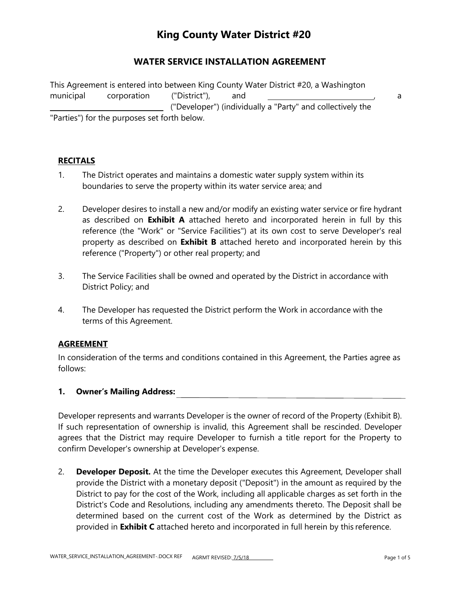### **WATER SERVICE INSTALLATION AGREEMENT**

This Agreement is entered into between King County Water District #20, a Washington municipal corporation ("District"), and , a ("Developer") (individually a "Party" and collectively the "Parties") for the purposes set forth below.

### **RECITALS**

- 1. The District operates and maintains a domestic water supply system within its boundaries to serve the property within its water service area; and
- 2. Developer desires to install a new and/or modify an existing water service or fire hydrant as described on **Exhibit A** attached hereto and incorporated herein in full by this reference (the "Work" or "Service Facilities") at its own cost to serve Developer's real property as described on **Exhibit B** attached hereto and incorporated herein by this reference ("Property") or other real property; and
- 3. The Service Facilities shall be owned and operated by the District in accordance with District Policy; and
- 4. The Developer has requested the District perform the Work in accordance with the terms of this Agreement.

#### **AGREEMENT**

In consideration of the terms and conditions contained in this Agreement, the Parties agree as follows:

#### **1. Owner's Mailing Address:**

Developer represents and warrants Developer is the owner of record of the Property (Exhibit B). If such representation of ownership is invalid, this Agreement shall be rescinded. Developer agrees that the District may require Developer to furnish a title report for the Property to confirm Developer's ownership at Developer's expense.

2. **Developer Deposit.** At the time the Developer executes this Agreement, Developer shall provide the District with a monetary deposit ("Deposit") in the amount as required by the District to pay for the cost of the Work, including all applicable charges as set forth in the District's Code and Resolutions, including any amendments thereto. The Deposit shall be determined based on the current cost of the Work as determined by the District as provided in **Exhibit C** attached hereto and incorporated in full herein by this reference.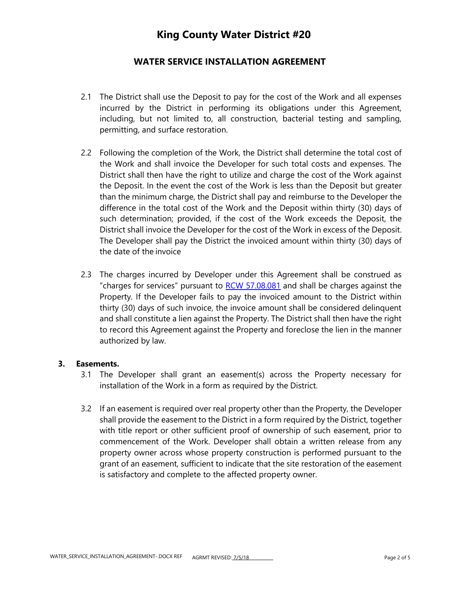## **WATER SERVICE INSTALLATION AGREEMENT**

- 2.1 The District shall use the Deposit to pay for the cost of the Work and all expenses incurred by the District in performing its obligations under this Agreement, including, but not limited to, all construction, bacterial testing and sampling, permitting, and surface restoration.
- 2.2 Following the completion of the Work, the District shall determine the total cost of the Work and shall invoice the Developer for such total costs and expenses. The District shall then have the right to utilize and charge the cost of the Work against the Deposit. In the event the cost of the Work is less than the Deposit but greater than the minimum charge, the District shall pay and reimburse to the Developer the difference in the total cost of the Work and the Deposit within thirty (30) days of such determination; provided, if the cost of the Work exceeds the Deposit, the District shall invoice the Developer for the cost of the Work in excess of the Deposit. The Developer shall pay the District the invoiced amount within thirty (30) days of the date of the invoice
- 2.3 The charges incurred by Developer under this Agreement shall be construed as "charges for services" pursuant to RCW 57.08.081 and shall be charges against the Property. If the Developer fails to pay the invoiced amount to the District within thirty (30) days of such invoice, the invoice amount shall be considered delinquent and shall constitute a lien against the Property. The District shall then have the right to record this Agreement against the Property and foreclose the lien in the manner authorized by law.

#### **3. Easements.**

- 3.1 The Developer shall grant an easement(s) across the Property necessary for installation of the Work in a form as required by the District.
- 3.2 If an easement is required over real property other than the Property, the Developer shall provide the easement to the District in a form required by the District, together with title report or other sufficient proof of ownership of such easement, prior to commencement of the Work. Developer shall obtain a written release from any property owner across whose property construction is performed pursuant to the grant of an easement, sufficient to indicate that the site restoration of the easement is satisfactory and complete to the affected property owner.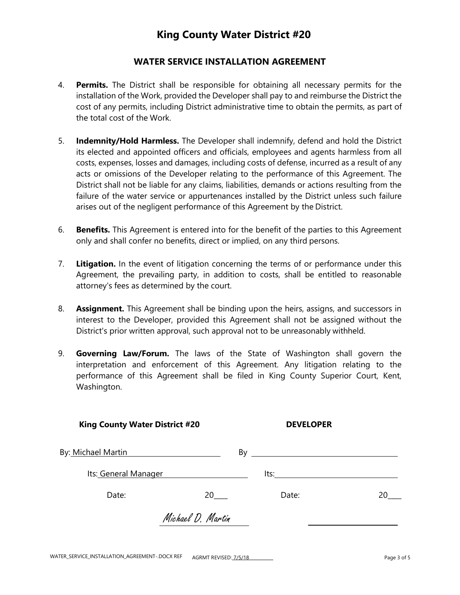### **WATER SERVICE INSTALLATION AGREEMENT**

- 4. **Permits.** The District shall be responsible for obtaining all necessary permits for the installation of the Work, provided the Developer shall pay to and reimburse the District the cost of any permits, including District administrative time to obtain the permits, as part of the total cost of the Work.
- 5. **Indemnity/Hold Harmless.** The Developer shall indemnify, defend and hold the District its elected and appointed officers and officials, employees and agents harmless from all costs, expenses, losses and damages, including costs of defense, incurred as a result of any acts or omissions of the Developer relating to the performance of this Agreement. The District shall not be liable for any claims, liabilities, demands or actions resulting from the failure of the water service or appurtenances installed by the District unless such failure arises out of the negligent performance of this Agreement by the District.
- 6. **Benefits.** This Agreement is entered into for the benefit of the parties to this Agreement only and shall confer no benefits, direct or implied, on any third persons.
- 7. **Litigation.** In the event of litigation concerning the terms of or performance under this Agreement, the prevailing party, in addition to costs, shall be entitled to reasonable attorney's fees as determined by the court.
- 8. **Assignment.** This Agreement shall be binding upon the heirs, assigns, and successors in interest to the Developer, provided this Agreement shall not be assigned without the District's prior written approval, such approval not to be unreasonably withheld.
- 9. **Governing Law/Forum.** The laws of the State of Washington shall govern the interpretation and enforcement of this Agreement. Any litigation relating to the performance of this Agreement shall be filed in King County Superior Court, Kent, Washington.

| <b>King County Water District #20</b>                              |                   | <b>DEVELOPER</b>                                                                                                                                                                                                                    |  |
|--------------------------------------------------------------------|-------------------|-------------------------------------------------------------------------------------------------------------------------------------------------------------------------------------------------------------------------------------|--|
| By: Michael Martin<br><u> 1980 - Jan Samuel Barbara, martin di</u> |                   | By $\overline{\phantom{a}}$                                                                                                                                                                                                         |  |
| Its: General Manager                                               |                   | <b>Its:</b> The Company of the Company of the Company of the Company of the Company of the Company of the Company of the Company of the Company of the Company of the Company of the Company of the Company of the Company of the C |  |
| Date:                                                              | 20                | Date:                                                                                                                                                                                                                               |  |
|                                                                    | Michael D. Martin |                                                                                                                                                                                                                                     |  |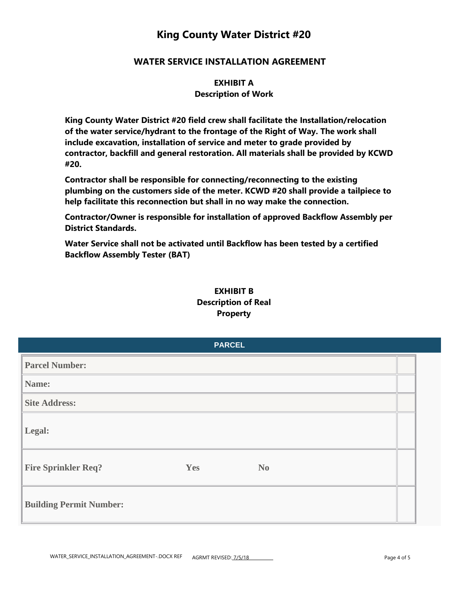### **WATER SERVICE INSTALLATION AGREEMENT**

**EXHIBIT A Description of Work**

**King County Water District #20 field crew shall facilitate the Installation/relocation of the water service/hydrant to the frontage of the Right of Way. The work shall include excavation, installation of service and meter to grade provided by contractor, backfill and general restoration. All materials shall be provided by KCWD #20.**

**Contractor shall be responsible for connecting/reconnecting to the existing plumbing on the customers side of the meter. KCWD #20 shall provide a tailpiece to help facilitate this reconnection but shall in no way make the connection.**

**Contractor/Owner is responsible for installation of approved Backflow Assembly per District Standards.**

**Water Service shall not be activated until Backflow has been tested by a certified Backflow Assembly Tester (BAT)**

### **EXHIBIT B Description of Real Property**

|                                |     | <b>PARCEL</b>  |  |
|--------------------------------|-----|----------------|--|
| <b>Parcel Number:</b>          |     |                |  |
| Name:                          |     |                |  |
| <b>Site Address:</b>           |     |                |  |
| Legal:                         |     |                |  |
| <b>Fire Sprinkler Req?</b>     | Yes | N <sub>0</sub> |  |
| <b>Building Permit Number:</b> |     |                |  |